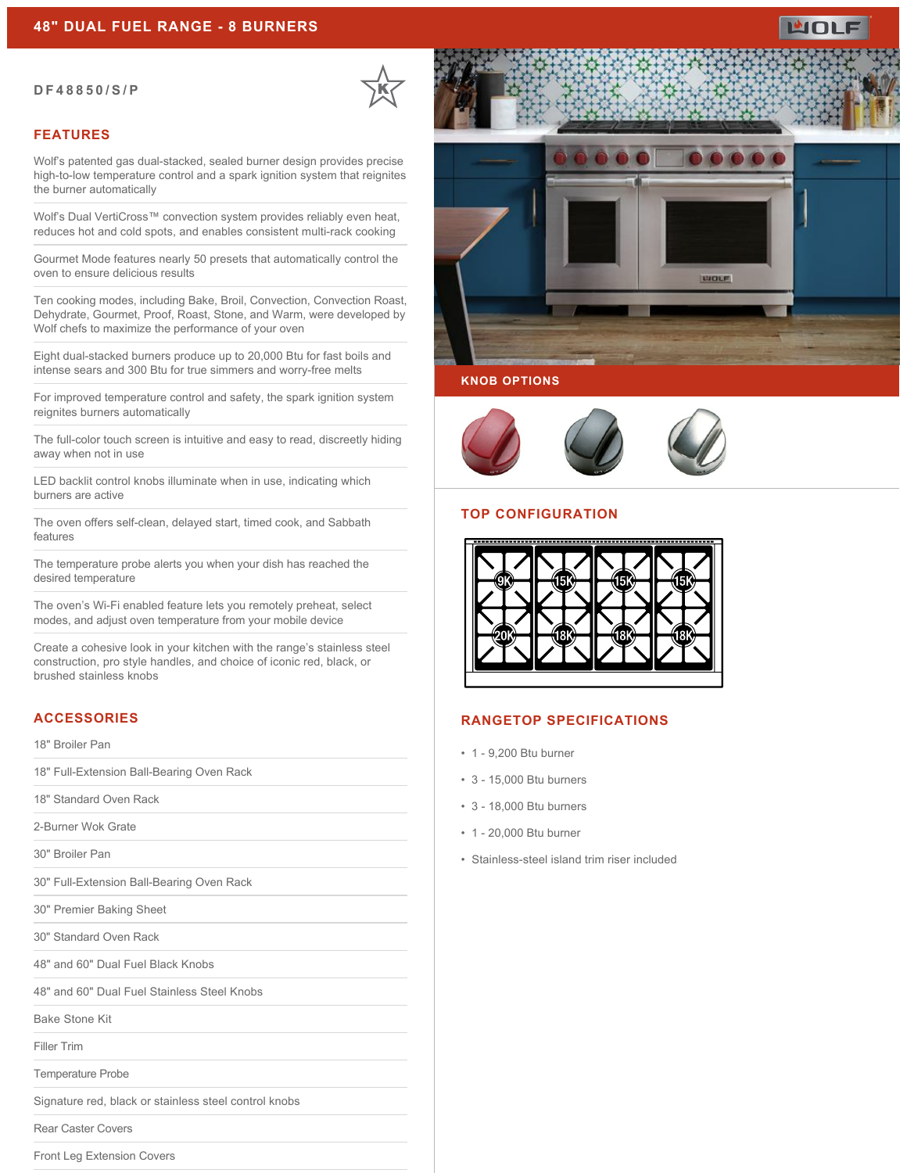#### **DF48850/S/P**

#### **FEATURES**

Wolf's patented gas dual-stacked, sealed burner design provides precise high-to-low temperature control and a spark ignition system that reignites the burner automatically

Wolf's Dual VertiCross™ convection system provides reliably even heat, reduces hot and cold spots, and enables consistent multi-rack cooking

Gourmet Mode features nearly 50 presets that automatically control the oven to ensure delicious results

Ten cooking modes, including Bake, Broil, Convection, Convection Roast, Dehydrate, Gourmet, Proof, Roast, Stone, and Warm, were developed by Wolf chefs to maximize the performance of your oven

Eight dual-stacked burners produce up to 20,000 Btu for fast boils and intense sears and 300 Btu for true simmers and worry-free melts

For improved temperature control and safety, the spark ignition system reignites burners automatically

The full-color touch screen is intuitive and easy to read, discreetly hiding away when not in use

LED backlit control knobs illuminate when in use, indicating which burners are active

The oven offers self-clean, delayed start, timed cook, and Sabbath features

The temperature probe alerts you when your dish has reached the desired temperature

The oven's Wi-Fi enabled feature lets you remotely preheat, select modes, and adjust oven temperature from your mobile device

Create a cohesive look in your kitchen with the range's stainless steel construction, pro style handles, and choice of iconic red, black, or brushed stainless knobs

# **ACCESSORIES**

18" Broiler Pan

18" Full-Extension Ball-Bearing Oven Rack

18" Standard Oven Rack

2-Burner Wok Grate

30" Broiler Pan

30" Full-Extension Ball-Bearing Oven Rack

30" Premier Baking Sheet

30" Standard Oven Rack

48" and 60" Dual Fuel Black Knobs

48" and 60" Dual Fuel Stainless Steel Knobs

Bake Stone Kit

Filler Trim

Temperature Probe

Signature red, black or stainless steel control knobs

Rear Caster Covers

Front Leg Extension Covers





### **TOP CONFIGURATION**



#### **RANGETOP SPECIFICATIONS**

- 1 9,200 Btu burner
- 3 15,000 Btu burners
- 3 18,000 Btu burners
- 1 20,000 Btu burner
- Stainless-steel island trim riser included

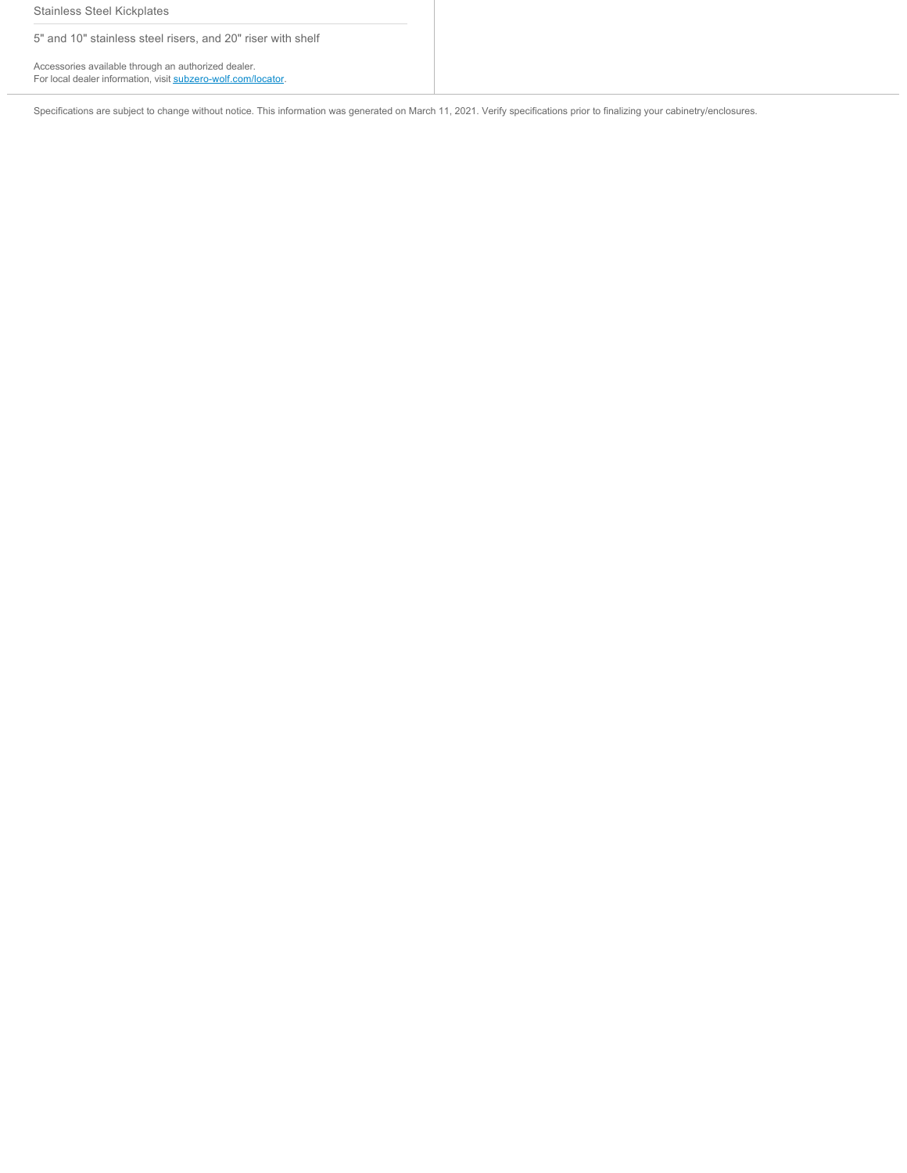Stainless Steel Kickplates

5" and 10" stainless steel risers, and 20" riser with shelf

Accessories available through an authorized dealer. For local dealer information, visit [subzero-wolf.com/locator.](http://www.subzero-wolf.com/locator)

Specifications are subject to change without notice. This information was generated on March 11, 2021. Verify specifications prior to finalizing your cabinetry/enclosures.